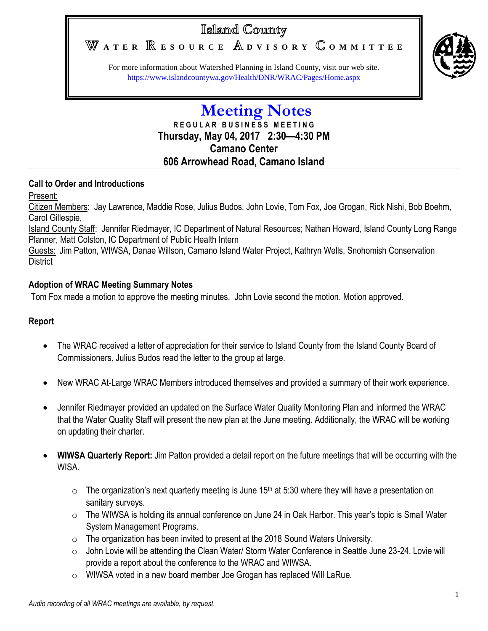# Island County

WATER **RESOURCE** ADVISORY COMMITTEE



For more information about Watershed Planning in Island County, visit our web site. <https://www.islandcountywa.gov/Health/DNR/WRAC/Pages/Home.aspx>

# **Meeting Notes R E G U L A R B U S I N E S S M E E T I N G Thursday, May 04, 2017 2:30—4:30 PM Camano Center 606 Arrowhead Road, Camano Island**

### **Call to Order and Introductions**

Present:

Citizen Members: Jay Lawrence, Maddie Rose, Julius Budos, John Lovie, Tom Fox, Joe Grogan, Rick Nishi, Bob Boehm, Carol Gillespie,

Island County Staff: Jennifer Riedmayer, IC Department of Natural Resources; Nathan Howard, Island County Long Range Planner, Matt Colston, IC Department of Public Health Intern

Guests: Jim Patton, WIWSA, Danae Willson, Camano Island Water Project, Kathryn Wells, Snohomish Conservation **District** 

## **Adoption of WRAC Meeting Summary Notes**

Tom Fox made a motion to approve the meeting minutes. John Lovie second the motion. Motion approved.

### **Report**

- The WRAC received a letter of appreciation for their service to Island County from the Island County Board of Commissioners. Julius Budos read the letter to the group at large.
- New WRAC At-Large WRAC Members introduced themselves and provided a summary of their work experience.
- Jennifer Riedmayer provided an updated on the Surface Water Quality Monitoring Plan and informed the WRAC that the Water Quality Staff will present the new plan at the June meeting. Additionally, the WRAC will be working on updating their charter.
- **WIWSA Quarterly Report:** Jim Patton provided a detail report on the future meetings that will be occurring with the WISA.
	- $\circ$  The organization's next quarterly meeting is June 15<sup>th</sup> at 5:30 where they will have a presentation on sanitary surveys.
	- o The WIWSA is holding its annual conference on June 24 in Oak Harbor. This year's topic is Small Water System Management Programs.
	- o The organization has been invited to present at the 2018 Sound Waters University.
	- o John Lovie will be attending the Clean Water/ Storm Water Conference in Seattle June 23-24. Lovie will provide a report about the conference to the WRAC and WIWSA.
	- o WIWSA voted in a new board member Joe Grogan has replaced Will LaRue.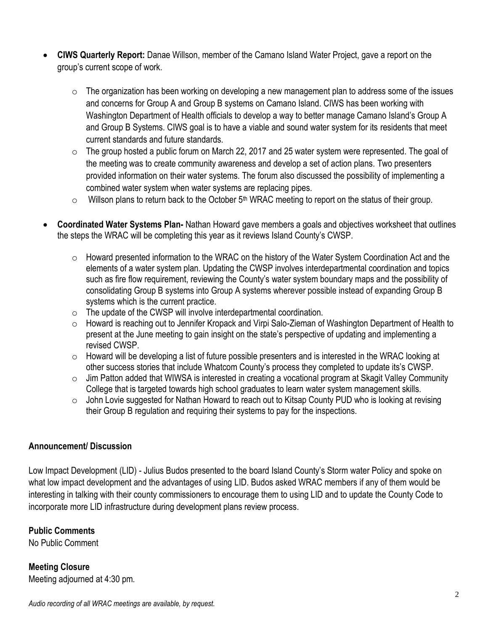- **CIWS Quarterly Report:** Danae Willson, member of the Camano Island Water Project, gave a report on the group's current scope of work.
	- $\circ$  The organization has been working on developing a new management plan to address some of the issues and concerns for Group A and Group B systems on Camano Island. CIWS has been working with Washington Department of Health officials to develop a way to better manage Camano Island's Group A and Group B Systems. CIWS goal is to have a viable and sound water system for its residents that meet current standards and future standards.
	- $\circ$  The group hosted a public forum on March 22, 2017 and 25 water system were represented. The goal of the meeting was to create community awareness and develop a set of action plans. Two presenters provided information on their water systems. The forum also discussed the possibility of implementing a combined water system when water systems are replacing pipes.
	- $\circ$  Willson plans to return back to the October 5<sup>th</sup> WRAC meeting to report on the status of their group.
- **Coordinated Water Systems Plan-** Nathan Howard gave members a goals and objectives worksheet that outlines the steps the WRAC will be completing this year as it reviews Island County's CWSP.
	- o Howard presented information to the WRAC on the history of the Water System Coordination Act and the elements of a water system plan. Updating the CWSP involves interdepartmental coordination and topics such as fire flow requirement, reviewing the County's water system boundary maps and the possibility of consolidating Group B systems into Group A systems wherever possible instead of expanding Group B systems which is the current practice.
	- $\circ$  The update of the CWSP will involve interdepartmental coordination.
	- $\circ$  Howard is reaching out to Jennifer Kropack and Virpi Salo-Zieman of Washington Department of Health to present at the June meeting to gain insight on the state's perspective of updating and implementing a revised CWSP.
	- $\circ$  Howard will be developing a list of future possible presenters and is interested in the WRAC looking at other success stories that include Whatcom County's process they completed to update its's CWSP.
	- o Jim Patton added that WIWSA is interested in creating a vocational program at Skagit Valley Community College that is targeted towards high school graduates to learn water system management skills.
	- $\circ$  John Lovie suggested for Nathan Howard to reach out to Kitsap County PUD who is looking at revising their Group B regulation and requiring their systems to pay for the inspections.

### **Announcement/ Discussion**

Low Impact Development (LID) - Julius Budos presented to the board Island County's Storm water Policy and spoke on what low impact development and the advantages of using LID. Budos asked WRAC members if any of them would be interesting in talking with their county commissioners to encourage them to using LID and to update the County Code to incorporate more LID infrastructure during development plans review process.

# **Public Comments**

No Public Comment

**Meeting Closure** Meeting adjourned at 4:30 pm.